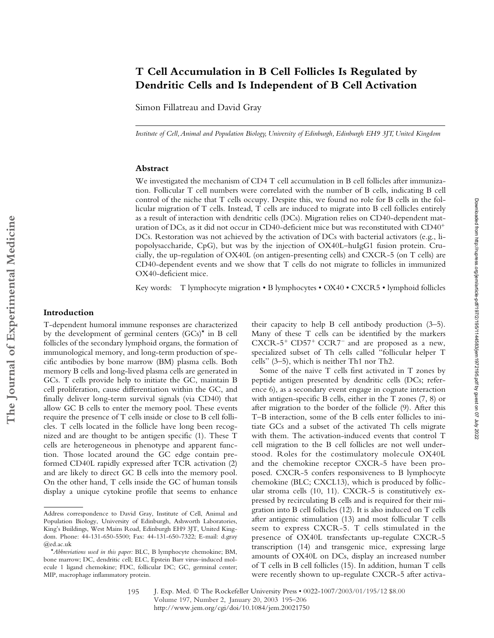# **T Cell Accumulation in B Cell Follicles Is Regulated by Dendritic Cells and Is Independent of B Cell Activation**

Simon Fillatreau and David Gray

*Institute of Cell, Animal and Population Biology, University of Edinburgh, Edinburgh EH9 3JT, United Kingdom*

### **Abstract**

We investigated the mechanism of CD4 T cell accumulation in B cell follicles after immunization. Follicular T cell numbers were correlated with the number of B cells, indicating B cell control of the niche that T cells occupy. Despite this, we found no role for B cells in the follicular migration of T cells. Instead, T cells are induced to migrate into B cell follicles entirely as a result of interaction with dendritic cells (DCs). Migration relies on CD40-dependent maturation of DCs, as it did not occur in CD40-deficient mice but was reconstituted with CD40- DCs. Restoration was not achieved by the activation of DCs with bacterial activators (e.g., lipopolysaccharide, CpG), but was by the injection of OX40L–huIgG1 fusion protein. Crucially, the up-regulation of OX40L (on antigen-presenting cells) and CXCR-5 (on T cells) are CD40-dependent events and we show that T cells do not migrate to follicles in immunized OX40-deficient mice.

Key words: T lymphocyte migration • B lymphocytes • OX40 • CXCR5 • lymphoid follicles

#### **Introduction**

T-dependent humoral immune responses are characterized by the development of germinal centers (GCs)\* in B cell follicles of the secondary lymphoid organs, the formation of immunological memory, and long-term production of specific antibodies by bone marrow (BM) plasma cells. Both memory B cells and long-lived plasma cells are generated in GCs. T cells provide help to initiate the GC, maintain B cell proliferation, cause differentiation within the GC, and finally deliver long-term survival signals (via CD40) that allow GC B cells to enter the memory pool. These events require the presence of T cells inside or close to B cell follicles. T cells located in the follicle have long been recognized and are thought to be antigen specific (1). These T cells are heterogeneous in phenotype and apparent function. Those located around the GC edge contain preformed CD40L rapidly expressed after TCR activation (2) and are likely to direct GC B cells into the memory pool. On the other hand, T cells inside the GC of human tonsils display a unique cytokine profile that seems to enhance

195

their capacity to help B cell antibody production (3–5). Many of these T cells can be identified by the markers  $CXCR-5$ <sup>+</sup>  $CD57$ <sup>+</sup>  $CCR7$ <sup>-</sup> and are proposed as a new, specialized subset of Th cells called "follicular helper T cells" (3–5), which is neither Th1 nor Th2.

Some of the naive T cells first activated in T zones by peptide antigen presented by dendritic cells (DCs; reference 6), as a secondary event engage in cognate interaction with antigen-specific B cells, either in the T zones (7, 8) or after migration to the border of the follicle (9). After this T–B interaction, some of the B cells enter follicles to initiate GCs and a subset of the activated Th cells migrate with them. The activation-induced events that control T cell migration to the B cell follicles are not well understood. Roles for the costimulatory molecule OX40L and the chemokine receptor CXCR-5 have been proposed. CXCR-5 confers responsiveness to B lymphocyte chemokine (BLC; CXCL13), which is produced by follicular stroma cells (10, 11). CXCR-5 is constitutively expressed by recirculating B cells and is required for their migration into B cell follicles (12). It is also induced on T cells after antigenic stimulation (13) and most follicular T cells seem to express CXCR-5. T cells stimulated in the presence of OX40L transfectants up-regulate CXCR-5 transcription (14) and transgenic mice, expressing large amounts of OX40L on DCs, display an increased number of T cells in B cell follicles (15). In addition, human T cells were recently shown to up-regulate CXCR-5 after activaDownloaded from http://rupress.org/jem/article-pdf/197/2/195/1144583/jem1972195.pdf by guest on 07 July 2022 Downloaded from http://rupress.org/jem/article-pdf/197/2/195/1144583/jem1972195.pdf by guest on 07 July 2022

Address correspondence to David Gray, Institute of Cell, Animal and Population Biology, University of Edinburgh, Ashworth Laboratories, King's Buildings, West Mains Road, Edinburgh EH9 3JT, United Kingdom. Phone: 44-131-650-5500; Fax: 44-131-650-7322; E-mail: d.gray @ed.ac.uk

<sup>\*</sup>*Abbreviations used in this paper:* BLC, B lymphocyte chemokine; BM, bone marrow; DC, dendritic cell; ELC, Epstein Barr virus–induced molecule 1 ligand chemokine; FDC, follicular DC; GC, germinal center; MIP, macrophage inflammatory protein.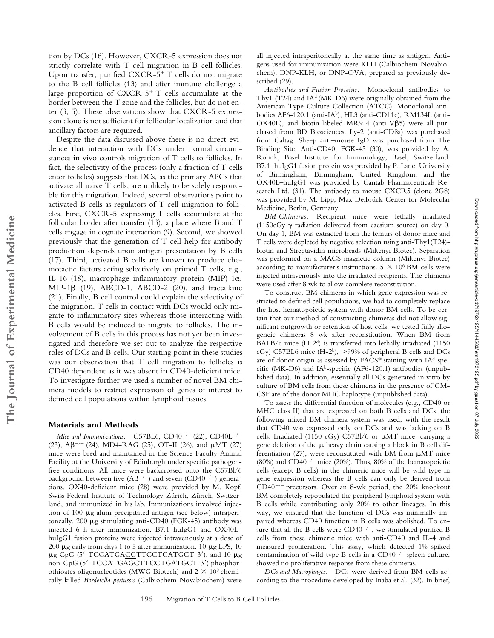tion by DCs (16). However, CXCR-5 expression does not strictly correlate with T cell migration in B cell follicles. Upon transfer, purified CXCR-5<sup>+</sup> T cells do not migrate to the B cell follicles (13) and after immune challenge a large proportion of CXCR-5<sup>+</sup> T cells accumulate at the border between the T zone and the follicles, but do not enter (3, 5). These observations show that CXCR-5 expression alone is not sufficient for follicular localization and that ancillary factors are required.

Despite the data discussed above there is no direct evidence that interaction with DCs under normal circumstances in vivo controls migration of T cells to follicles. In fact, the selectivity of the process (only a fraction of T cells enter follicles) suggests that DCs, as the primary APCs that activate all naive T cells, are unlikely to be solely responsible for this migration. Indeed, several observations point to activated B cells as regulators of T cell migration to follicles. First, CXCR-5–expressing T cells accumulate at the follicular border after transfer (13), a place where B and T cells engage in cognate interaction (9). Second, we showed previously that the generation of T cell help for antibody production depends upon antigen presentation by B cells (17). Third, activated B cells are known to produce chemotactic factors acting selectively on primed T cells, e.g., IL-16 (18), macrophage inflammatory protein (MIP)-1 $\alpha$ , MIP-1 $\beta$  (19), ABCD-1, ABCD-2 (20), and fractalkine (21). Finally, B cell control could explain the selectivity of the migration. T cells in contact with DCs would only migrate to inflammatory sites whereas those interacting with B cells would be induced to migrate to follicles. The involvement of B cells in this process has not yet been investigated and therefore we set out to analyze the respective roles of DCs and B cells. Our starting point in these studies was our observation that T cell migration to follicles is CD40 dependent as it was absent in CD40-deficient mice. To investigate further we used a number of novel BM chimera models to restrict expression of genes of interest to defined cell populations within lymphoid tissues.

#### **Materials and Methods**

**The Journal of Experimental Medicine**

The Journal of Experimental Medicine

*Mice and Immunizations.* C57BL6, CD40<sup> $-/-$ </sup> (22), CD40L<sup> $-/-$ </sup> (23),  $\text{AG}^{-/-}$  (24), MD4-RAG (25), OT-II (26), and  $\mu$ MT (27) mice were bred and maintained in the Science Faculty Animal Facility at the University of Edinburgh under specific pathogenfree conditions. All mice were backcrossed onto the C57Bl/6 background between five  $(AB^{-/-})$  and seven  $(CD40^{-/-})$  generations. OX40-deficient mice (28) were provided by M. Kopf, Swiss Federal Institute of Technology Zürich, Zürich, Switzerland, and immunized in his lab. Immunizations involved injection of 100  $\mu$ g alum-precipitated antigen (see below) intraperitoneally. 200  $\mu$ g stimulating anti-CD40 (FGK-45) antibody was injected 6 h after immunization. B7.1–huIgG1 and OX40L– huIgG1 fusion proteins were injected intravenously at a dose of 200  $\mu$ g daily from days 1 to 5 after immunization. 10  $\mu$ g LPS, 10  $\mu$ g CpG (5'-TCCATGACGTTCCTGATGCT-3'), and 10  $\mu$ g non-CpG (5-TCCATGAGCTTCCTGATGCT-3) phosphorothioates oligonucleotides (MWG Biotech) and  $2 \times 10^9$  chemically killed *Bordetella pertussis* (Calbiochem-Novabiochem) were

all injected intraperitoneally at the same time as antigen. Antigens used for immunization were KLH (Calbiochem-Novabiochem), DNP-KLH, or DNP-OVA, prepared as previously described (29).

*Antibodies and Fusion Proteins.* Monoclonal antibodies to Thy1 (T24) and  $IA<sup>d</sup>$  (MK-D6) were originally obtained from the American Type Culture Collection (ATCC). Monoclonal antibodies AF6-120.1 (anti-IAb), HL3 (anti-CD11c), RM134L (anti-OX40L), and biotin-labeled MR9-4 (anti-V $\beta$ 5) were all purchased from BD Biosciences. Ly-2 (anti-CD8a) was purchased from Caltag. Sheep anti–mouse IgD was purchased from The Binding Site. Anti-CD40, FGK-45 (30), was provided by A. Rolink, Basel Institute for Immunology, Basel, Switzerland. B7.1–huIgG1 fusion protein was provided by P. Lane, University of Birmingham, Birmingham, United Kingdom, and the OX40L–huIgG1 was provided by Cantab Pharmaceuticals Research Ltd. (31). The antibody to mouse CXCR5 (clone 2G8) was provided by M. Lipp, Max Delbrück Center for Molecular Medicine, Berlin, Germany.

*BM Chimeras.* Recipient mice were lethally irradiated (1150cGy  $\gamma$  radiation delivered from caesium source) on day 0. On day 1, BM was extracted from the femurs of donor mice and T cells were depleted by negative selection using anti-Thy1(T24) biotin and Streptavidin microbeads (Miltenyi Biotec). Separation was performed on a MACS magnetic column (Miltenyi Biotec) according to manufacturer's instructions.  $5 \times 10^6$  BM cells were injected intravenously into the irradiated recipients. The chimeras were used after 8 wk to allow complete reconstitution.

To construct BM chimeras in which gene expression was restricted to defined cell populations, we had to completely replace the host hematopoietic system with donor BM cells. To be certain that our method of constructing chimeras did not allow significant outgrowth or retention of host cells, we tested fully allogeneic chimeras 8 wk after reconstitution. When BM from BALB/c mice (H-2d) is transferred into lethally irradiated (1150 cGy) C57BL6 mice  $(H-2^b)$ , >99% of peripheral B cells and DCs are of donor origin as assessed by FACS® staining with IAd-specific (MK-D6) and IAb-specific (AF6-120.1) antibodies (unpublished data). In addition, essentially all DCs generated in vitro by culture of BM cells from these chimeras in the presence of GM-CSF are of the donor MHC haplotype (unpublished data).

To assess the differential function of molecules (e.g., CD40 or MHC class II) that are expressed on both B cells and DCs, the following mixed BM chimera system was used, with the result that CD40 was expressed only on DCs and was lacking on B cells. Irradiated (1150 cGy) C57Bl/6 or  $\mu$ MT mice, carrying a gene deletion of the  $\mu$  heavy chain causing a block in B cell differentiation (27), were reconstituted with BM from  $\mu$ MT mice (80%) and CD40<sup> $-/-$ </sup> mice (20%). Thus, 80% of the hematopoietic cells (except B cells) in the chimeric mice will be wild-type in gene expression whereas the B cells can only be derived from  $CD40^{-/-}$  precursors. Over an 8-wk period, the 20% knockout BM completely repopulated the peripheral lymphoid system with B cells while contributing only 20% to other lineages. In this way, we ensured that the function of DCs was minimally impaired whereas CD40 function in B cells was abolished. To ensure that all the B cells were  $CD40^{-/-}$ , we stimulated purified B cells from these chimeric mice with anti-CD40 and IL-4 and measured proliferation. This assay, which detected 1% spiked contamination of wild-type B cells in a  $CD40^{-/-}$  spleen culture, showed no proliferative response from these chimeras.

*DCs and Macrophages.* DCs were derived from BM cells according to the procedure developed by Inaba et al. (32). In brief,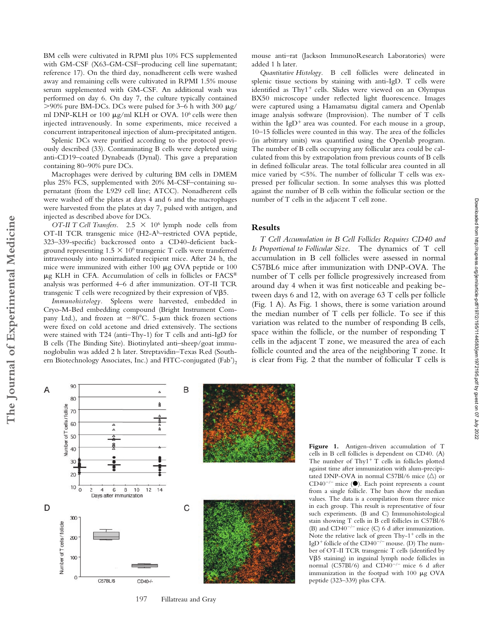BM cells were cultivated in RPMI plus 10% FCS supplemented with GM-CSF (X63-GM-CSF–producing cell line supernatant; reference 17). On the third day, nonadherent cells were washed away and remaining cells were cultivated in RPMI 1.5% mouse serum supplemented with GM-CSF. An additional wash was performed on day 6. On day 7, the culture typically contained  $>90\%$  pure BM-DCs. DCs were pulsed for 3–6 h with 300  $\mu$ g/ ml DNP-KLH or 100  $\mu$ g/ml KLH or OVA. 10<sup>6</sup> cells were then injected intravenously. In some experiments, mice received a concurrent intraperitoneal injection of alum-precipitated antigen.

Splenic DCs were purified according to the protocol previously described (33). Contaminating B cells were depleted using anti-CD19–coated Dynabeads (Dynal). This gave a preparation containing 80–90% pure DCs.

Macrophages were derived by culturing BM cells in DMEM plus 25% FCS, supplemented with 20% M-CSF–containing supernatant (from the L929 cell line; ATCC). Nonadherent cells were washed off the plates at days 4 and 6 and the macrophages were harvested from the plates at day 7, pulsed with antigen, and injected as described above for DCs.

*OT-II T Cell Transfers.* 2.5  $\times$  10<sup>6</sup> lymph node cells from OT-II TCR transgenic mice (H2-Ab–restricted OVA peptide, 323–339-specific) backcrossed onto a CD40-deficient background representing  $1.5 \times 10^6$  transgenic T cells were transferred intravenously into nonirradiated recipient mice. After 24 h, the mice were immunized with either 100  $\mu$ g OVA peptide or 100  $\mu$ g KLH in CFA. Accumulation of cells in follicles or FACS® analysis was performed 4–6 d after immunization. OT-II TCR transgenic T cells were recognized by their expression of V5.

*Immunohistology.* Spleens were harvested, embedded in Cryo-M-Bed embedding compound (Bright Instrument Company Ltd.), and frozen at  $-80^{\circ}$ C. 5- $\mu$ m thick frozen sections were fixed on cold acetone and dried extensively. The sections were stained with T24 (anti–Thy-1) for T cells and anti-IgD for B cells (The Binding Site). Biotinylated anti–sheep/goat immunoglobulin was added 2 h later. Streptavidin–Texas Red (Southern Biotechnology Associates, Inc.) and FITC-conjugated (Fab')<sub>2</sub>

mouse anti–rat (Jackson ImmunoResearch Laboratories) were added 1 h later.

*Quantitative Histology.* B cell follicles were delineated in splenic tissue sections by staining with anti-IgD. T cells were identified as Thy1<sup>+</sup> cells. Slides were viewed on an Olympus BX50 microscope under reflected light fluorescence. Images were captured using a Hamamatsu digital camera and Openlab image analysis software (Improvision). The number of T cells within the IgD<sup>+</sup> area was counted. For each mouse in a group, 10–15 follicles were counted in this way. The area of the follicles (in arbitrary units) was quantified using the Openlab program. The number of B cells occupying any follicular area could be calculated from this by extrapolation from previous counts of B cells in defined follicular areas. The total follicular area counted in all mice varied by 5%. The number of follicular T cells was expressed per follicular section. In some analyses this was plotted against the number of B cells within the follicular section or the number of T cells in the adjacent T cell zone.

#### **Results**

*T Cell Accumulation in B Cell Follicles Requires CD40 and Is Proportional to Follicular Size.* The dynamics of T cell accumulation in B cell follicles were assessed in normal C57BL6 mice after immunization with DNP-OVA. The number of T cells per follicle progressively increased from around day 4 when it was first noticeable and peaking between days 6 and 12, with on average 63 T cells per follicle (Fig. 1 A). As Fig. 1 shows, there is some variation around the median number of T cells per follicle. To see if this variation was related to the number of responding B cells, space within the follicle, or the number of responding T cells in the adjacent T zone, we measured the area of each follicle counted and the area of the neighboring T zone. It is clear from Fig. 2 that the number of follicular T cells is

Downloaded from http://rupress.org/jem/article-pdf/197/2/195/1144583/jem1972195.pdf by guest on 07 July 2022 Downloaded from http://rupress.org/jem/article-pdf/197/2/195/1144583/jem1972195.pdf by guest on 07 July 2022



197 Fillatreau and Gray

Figure 1. Antigen-driven accumulation of T cells in B cell follicles is dependent on CD40. (A) The number of Thy $1^+$  T cells in follicles plotted against time after immunization with alum-precipitated DNP-OVA in normal C57Bl/6 mice  $(\triangle)$  or  $CD40^{-/-}$  mice ( $\bullet$ ). Each point represents a count from a single follicle. The bars show the median values. The data is a compilation from three mice in each group. This result is representative of four such experiments. (B and C) Immunohistological stain showing T cells in B cell follicles in C57Bl/6 (B) and  $CD40^{-/-}$  mice (C) 6 d after immunization. Note the relative lack of green  $Thy-1^+$  cells in the IgD<sup>+</sup> follicle of the CD40<sup>-/-</sup> mouse. (D) The number of OT-II TCR transgenic T cells (identified by V5 staining) in inguinal lymph node follicles in normal (C57Bl/6) and CD40<sup>-/-</sup> mice 6 d after immunization in the footpad with  $100 \mu g$  OVA peptide (323–339) plus CFA.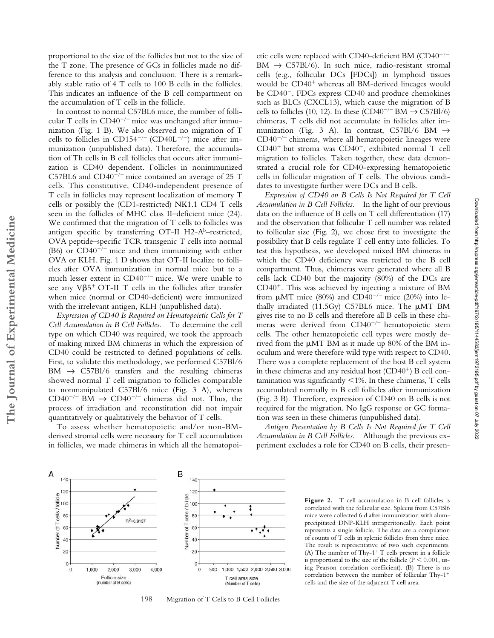A

140

120

Number of T cells / follicle

proportional to the size of the follicles but not to the size of the T zone. The presence of GCs in follicles made no difference to this analysis and conclusion. There is a remarkably stable ratio of 4 T cells to 100 B cells in the follicles. This indicates an influence of the B cell compartment on the accumulation of T cells in the follicle.

In contrast to normal C57BL6 mice, the number of follicular T cells in  $CD40^{-/-}$  mice was unchanged after immunization (Fig. 1 B). We also observed no migration of T cells to follicles in CD154<sup>-/-</sup> (CD40L<sup>-/-</sup>) mice after immunization (unpublished data). Therefore, the accumulation of Th cells in B cell follicles that occurs after immunization is CD40 dependent. Follicles in nonimmunized C57BL6 and  $CD40^{-/-}$  mice contained an average of 25 T cells. This constitutive, CD40-independent presence of T cells in follicles may represent localization of memory T cells or possibly the (CD1-restricted) NK1.1 CD4 T cells seen in the follicles of MHC class II–deficient mice (24). We confirmed that the migration of T cells to follicles was antigen specific by transferring OT-II H2-Ab–restricted, OVA peptide–specific TCR transgenic T cells into normal (B6) or  $CD40^{-/-}$  mice and then immunizing with either OVA or KLH. Fig. 1 D shows that OT-II localize to follicles after OVA immunization in normal mice but to a much lesser extent in  $CD40^{-/-}$  mice. We were unable to see any  $V\beta 5^+$  OT-II T cells in the follicles after transfer when mice (normal or CD40-deficient) were immunized with the irrelevant antigen, KLH (unpublished data).

*Expression of CD40 Is Required on Hematopoietic Cells for T Cell Accumulation in B Cell Follicles.* To determine the cell type on which CD40 was required, we took the approach of making mixed BM chimeras in which the expression of CD40 could be restricted to defined populations of cells. First, to validate this methodology, we performed C57Bl/6  $BM \rightarrow C57Bl/6$  transfers and the resulting chimeras showed normal T cell migration to follicles comparable to nonmanipulated C57Bl/6 mice (Fig. 3 A), whereas  $CD40^{-/-}$  BM  $\rightarrow$  CD40<sup>-/-</sup> chimeras did not. Thus, the process of irradiation and reconstitution did not impair quantitatively or qualitatively the behavior of T cells.

To assess whether hematopoietic and/or non-BMderived stromal cells were necessary for T cell accumulation in follicles, we made chimeras in which all the hematopoi-

etic cells were replaced with CD40-deficient BM (CD40<sup>-/-</sup>  $BM \rightarrow C57Bl/6$ ). In such mice, radio-resistant stromal cells (e.g., follicular DCs [FDCs]) in lymphoid tissues would be CD40<sup>+</sup> whereas all BM-derived lineages would be CD40<sup>-</sup>. FDCs express CD40 and produce chemokines such as BLCs (CXCL13), which cause the migration of B cells to follicles (10, 12). In these  $(CD40^{-/-}BM \rightarrow C57Bl/6)$ chimeras, T cells did not accumulate in follicles after immunization (Fig. 3 A). In contrast, C57Bl/6 BM  $\rightarrow$  $CD40^{-/-}$  chimeras, where all hematopoietic lineages were CD40<sup>+</sup> but stroma was CD40<sup>-</sup>, exhibited normal T cell migration to follicles. Taken together, these data demonstrated a crucial role for CD40-expressing hematopoietic cells in follicular migration of T cells. The obvious candidates to investigate further were DCs and B cells.

*Expression of CD40 on B Cells Is Not Required for T Cell Accumulation in B Cell Follicles.* In the light of our previous data on the influence of B cells on T cell differentiation (17) and the observation that follicular T cell number was related to follicular size (Fig. 2), we chose first to investigate the possibility that B cells regulate T cell entry into follicles. To test this hypothesis, we developed mixed BM chimeras in which the CD40 deficiency was restricted to the B cell compartment. Thus, chimeras were generated where all B cells lack CD40 but the majority (80%) of the DCs are CD40<sup>+</sup>. This was achieved by injecting a mixture of BM from  $\mu$ MT mice (80%) and CD40<sup>-/-</sup> mice (20%) into lethally irradiated (11.5Gy) C57BL6 mice. The  $\mu$ MT BM gives rise to no B cells and therefore all B cells in these chimeras were derived from  $CD40^{-/-}$  hematopoietic stem cells. The other hematopoietic cell types were mostly derived from the  $\mu$ MT BM as it made up 80% of the BM inoculum and were therefore wild type with respect to CD40. There was a complete replacement of the host B cell system in these chimeras and any residual host (CD40<sup>+</sup>) B cell contamination was significantly  $\leq 1\%$ . In these chimeras, T cells accumulated normally in B cell follicles after immunization (Fig. 3 B). Therefore, expression of CD40 on B cells is not required for the migration. No IgG response or GC formation was seen in these chimeras (unpublished data).

*Antigen Presentation by B Cells Is Not Required for T Cell Accumulation in B Cell Follicles.* Although the previous experiment excludes a role for CD40 on B cells, their presen-



B

140

 $12C$ 

198 Migration of T Cells to B Cell Follicles

Figure 2. T cell accumulation in B cell follicles is correlated with the follicular size. Spleens from C57Bl6 mice were collected 6 d after immunization with alumprecipitated DNP-KLH intraperitoneally. Each point represents a single follicle. The data are a compilation of counts of T cells in splenic follicles from three mice. The result is representative of two such experiments. (A) The number of Thy- $1^+$  T cells present in a follicle is proportional to the size of the follicle ( $P < 0.001$ , using Pearson correlation coefficient). (B) There is no correlation between the number of follicular Thy-1 cells and the size of the adjacent T cell area.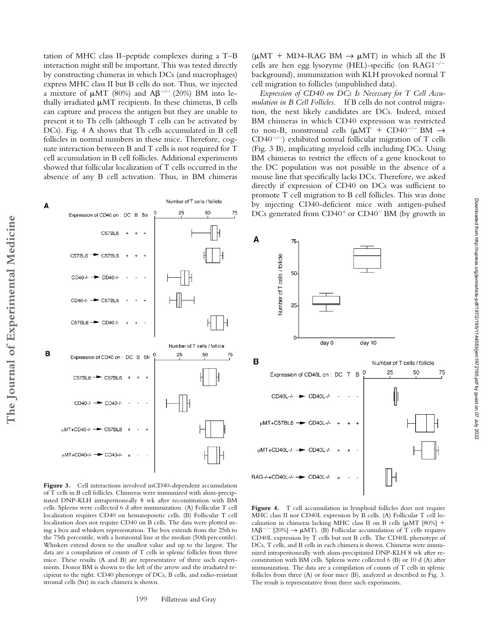tation of MHC class II–peptide complexes during a T–B interaction might still be important. This was tested directly by constructing chimeras in which DCs (and macrophages) express MHC class II but B cells do not. Thus, we injected a mixture of  $\mu$ MT (80%) and A $\beta$ <sup>-/-</sup> (20%) BM into lethally irradiated  $\mu$ MT recipients. In these chimeras, B cells can capture and process the antigen but they are unable to present it to Th cells (although T cells can be activated by DCs). Fig. 4 A shows that Th cells accumulated in B cell follicles in normal numbers in these mice. Therefore, cognate interaction between B and T cells is not required for T cell accumulation in B cell follicles. Additional experiments showed that follicular localization of T cells occurred in the absence of any B cell activation. Thus, in BM chimeras

 $(\mu MT + MD4-RAG BM \rightarrow \mu MT)$  in which all the B cells are hen egg lysozyme (HEL)-specific (on RAG1 background), immunization with KLH provoked normal T cell migration to follicles (unpublished data).

*Expression of CD40 on DCs Is Necessary for T Cell Accumulation in B Cell Follicles.* If B cells do not control migration, the next likely candidates are DCs. Indeed, mixed BM chimeras in which CD40 expression was restricted to non-B, nonstromal cells ( $\mu$ MT + CD40<sup>-/-</sup> BM  $\rightarrow$  $CD40^{-/-}$ ) exhibited normal follicular migration of T cells (Fig. 3 B), implicating myeloid cells including DCs. Using BM chimeras to restrict the effects of a gene knockout to the DC population was not possible in the absence of a mouse line that specifically lacks DCs. Therefore, we asked directly if expression of CD40 on DCs was sufficient to promote T cell migration to B cell follicles. This was done by injecting CD40-deficient mice with antigen-pulsed DCs generated from CD40<sup>+</sup> or CD40<sup>-</sup> BM (by growth in



**Figure 3.** Cell interactions involved inCD40-dependent accumulation of T cells in B cell follicles. Chimeras were immunized with alum-precipitated DNP-KLH intraperitoneally 8 wk after reconstitution with BM cells. Spleens were collected 6 d after immunization. (A) Follicular T cell localization requires CD40 on hematopoietic cells. (B) Follicular T cell localization does not require CD40 on B cells. The data were plotted using a box and whiskers representation. The box extends from the 25th to the 75th percentile, with a horizontal line at the median (50th percentile). Whiskers extend down to the smallest value and up to the largest. The data are a compilation of counts of T cells in splenic follicles from three mice. These results (A and B) are representative of three such experiments. Donor BM is shown to the left of the arrow and the irradiated recipient to the right. CD40 phenotype of DCs, B cells, and radio-resistant stromal cells (Str) in each chimera is shown.



Figure 4. T cell accumulation in lymphoid follicles does not require MHC class II nor CD40L expression by B cells. (A) Follicular T cell localization in chimeras lacking MHC class II on B cells  $(\mu MT [80\%] +$ IA $\beta^{-/-}$  [20%]  $\rightarrow \mu$ MT). (B) Follicular accumulation of T cells requires CD40L expression by T cells but not B cells. The CD40L phenotype of DCs, T cells, and B cells in each chimera is shown. Chimeras were immunized intraperitoneally with alum-precipitated DNP-KLH 8 wk after reconstitution with BM cells. Spleens were collected 6 (B) or 10 d (A) after immunization. The data are a compilation of counts of T cells in splenic follicles from three (A) or four mice (B), analyzed as described in Fig. 3. The result is representative from three such experiments.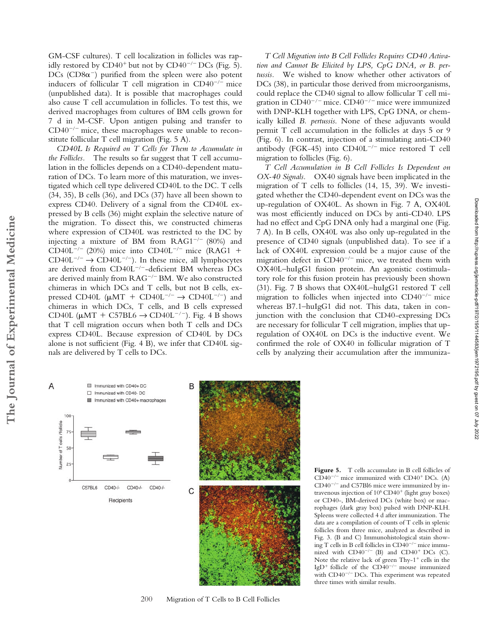GM-CSF cultures). T cell localization in follicles was rapidly restored by  $CD40^+$  but not by  $CD40^{-/-}$  DCs (Fig. 5). DCs ( $CD8\alpha$ <sup>-</sup>) purified from the spleen were also potent inducers of follicular T cell migration in  $CD40^{-/-}$  mice (unpublished data). It is possible that macrophages could also cause T cell accumulation in follicles. To test this, we derived macrophages from cultures of BM cells grown for 7 d in M-CSF. Upon antigen pulsing and transfer to  $CD40^{-/-}$  mice, these macrophages were unable to reconstitute follicular T cell migration (Fig. 5 A).

*CD40L Is Required on T Cells for Them to Accumulate in the Follicles.* The results so far suggest that T cell accumulation in the follicles depends on a CD40-dependent maturation of DCs. To learn more of this maturation, we investigated which cell type delivered CD40L to the DC. T cells (34, 35), B cells (36), and DCs (37) have all been shown to express CD40. Delivery of a signal from the CD40L expressed by B cells (36) might explain the selective nature of the migration. To dissect this, we constructed chimeras where expression of CD40L was restricted to the DC by injecting a mixture of BM from  $RAG1^{-/-}$  (80%) and  $CD40L^{-/-}$  (20%) mice into  $CD40L^{-/-}$  mice (RAG1 +  $CD40L^{-/-} \rightarrow CD40L^{-/-}$ ). In these mice, all lymphocytes are derived from  $CD40L^{-/-}$ -deficient BM whereas DCs are derived mainly from  $RAG^{-/-}BM$ . We also constructed chimeras in which DCs and T cells, but not B cells, expressed CD40L ( $\mu$ MT + CD40L<sup>-/-</sup>  $\rightarrow$  CD40L<sup>-/-</sup>) and chimeras in which DCs, T cells, and B cells expressed CD40L ( $\mu$ MT + C57BL6  $\rightarrow$  CD40L<sup>-/-</sup>). Fig. 4 B shows that T cell migration occurs when both T cells and DCs express CD40L. Because expression of CD40L by DCs alone is not sufficient (Fig. 4 B), we infer that CD40L signals are delivered by T cells to DCs.

*T Cell Migration into B Cell Follicles Requires CD40 Activation and Cannot Be Elicited by LPS, CpG DNA, or B. pertussis.* We wished to know whether other activators of DCs (38), in particular those derived from microorganisms, could replace the CD40 signal to allow follicular T cell migration in  $CD40^{-/-}$  mice.  $CD40^{-/-}$  mice were immunized with DNP-KLH together with LPS, CpG DNA, or chemically killed *B. pertussis*. None of these adjuvants would permit T cell accumulation in the follicles at days 5 or 9 (Fig. 6). In contrast, injection of a stimulating anti-CD40 antibody (FGK-45) into  $CD40L^{-/-}$  mice restored T cell migration to follicles (Fig. 6).

*T Cell Accumulation in B Cell Follicles Is Dependent on OX-40 Signals.* OX40 signals have been implicated in the migration of T cells to follicles (14, 15, 39). We investigated whether the CD40-dependent event on DCs was the up-regulation of OX40L. As shown in Fig. 7 A, OX40L was most efficiently induced on DCs by anti-CD40. LPS had no effect and CpG DNA only had a marginal one (Fig. 7 A). In B cells, OX40L was also only up-regulated in the presence of CD40 signals (unpublished data). To see if a lack of OX40L expression could be a major cause of the migration defect in  $CD40^{-/-}$  mice, we treated them with OX40L–huIgG1 fusion protein. An agonistic costimulatory role for this fusion protein has previously been shown (31). Fig. 7 B shows that OX40L–huIgG1 restored T cell migration to follicles when injected into  $CD40^{-/-}$  mice whereas B7.1–huIgG1 did not. This data, taken in conjunction with the conclusion that CD40-expressing DCs are necessary for follicular T cell migration, implies that upregulation of OX40L on DCs is the inductive event. We confirmed the role of OX40 in follicular migration of T cells by analyzing their accumulation after the immuniza-

**The Journal of Experimental Medicine**

The Journal of Experimental Medicine





200 Migration of T Cells to B Cell Follicles

**Figure 5.** T cells accumulate in B cell follicles of  $CD40^{-/-}$  mice immunized with  $CD40^{+}$  DCs. (A)  $CD40^{-/-}$  and C57Bl6 mice were immunized by intravenous injection of 10<sup>6</sup> CD40<sup>+</sup> (light gray boxes) or CD40-, BM-derived DCs (white box) or macrophages (dark gray box) pulsed with DNP-KLH. Spleens were collected 4 d after immunization. The data are a compilation of counts of T cells in splenic follicles from three mice, analyzed as described in Fig. 3. (B and C) Immunohistological stain showing T cells in B cell follicles in  $CD40^{-/-}$  mice immumized with  $CD40^{-/-}$  (B) and  $CD40^{+}$  DCs (C). Note the relative lack of green Thy-1<sup>+</sup> cells in the IgD<sup>+</sup> follicle of the CD40<sup>-/-</sup> mouse immunized with  $CD40^{-/-}$  DCs. This experiment was repeated three times with similar results.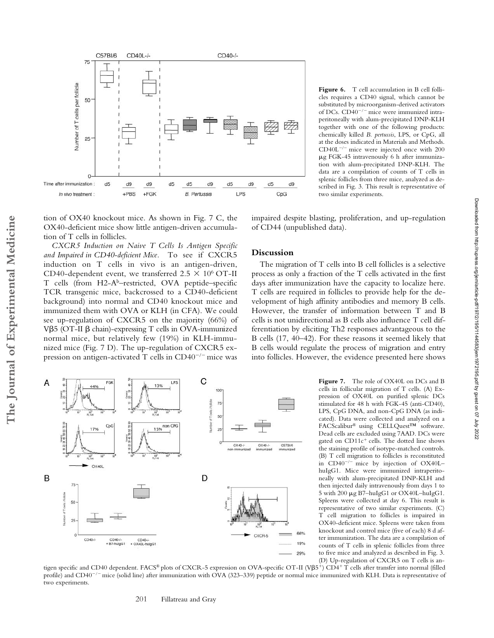

tion of OX40 knockout mice. As shown in Fig. 7 C, the OX40-deficient mice show little antigen-driven accumulation of T cells in follicles.

*CXCR5 Induction on Naive T Cells Is Antigen Specific and Impaired in CD40-deficient Mice.* To see if CXCR5 induction on T cells in vivo is an antigen-driven, CD40-dependent event, we transferred  $2.5 \times 10^6$  OT-II T cells (from H2-Ab–restricted, OVA peptide–specific TCR transgenic mice, backcrossed to a CD40-deficient background) into normal and CD40 knockout mice and immunized them with OVA or KLH (in CFA). We could see up-regulation of CXCR5 on the majority (66%) of  $V\beta$ 5 (OT-II  $\beta$  chain)-expressing T cells in OVA-immunized normal mice, but relatively few (19%) in KLH-immunized mice (Fig. 7 D). The up-regulation of CXCR5 expression on antigen-activated  $T$  cells in CD40<sup> $-/-$ </sup> mice was

FQ

Cp<sub>C</sub>

CD40-/-<br>+ B7-hulgG1

CD40-/-<br>+ OX40L-hulgG1

44%

OX40L

B

50

25

CD40-/

Figure 6. T cell accumulation in B cell follicles requires a CD40 signal, which cannot be substituted by microorganism-derived activators of DCs.  $CD40^{-/-}$  mice were immunized intraperitoneally with alum-precipitated DNP-KLH together with one of the following products: chemically killed *B. pertussis*, LPS, or CpG, all at the doses indicated in Materials and Methods.  $CD40L^{-/-}$  mice were injected once with 200 g FGK-45 intravenously 6 h after immunization with alum-precipitated DNP-KLH. The data are a compilation of counts of T cells in splenic follicles from three mice, analyzed as described in Fig. 3. This result is representative of two similar experiments.

impaired despite blasting, proliferation, and up-regulation of CD44 (unpublished data).

# **Discussion**

The migration of T cells into B cell follicles is a selective process as only a fraction of the T cells activated in the first days after immunization have the capacity to localize here. T cells are required in follicles to provide help for the development of high affinity antibodies and memory B cells. However, the transfer of information between T and B cells is not unidirectional as B cells also influence T cell differentiation by eliciting Th2 responses advantageous to the B cells (17, 40–42). For these reasons it seemed likely that B cells would regulate the process of migration and entry into follicles. However, the evidence presented here shows

> **Figure 7.** The role of OX40L on DCs and B cells in follicular migration of T cells. (A) Expression of OX40L on purified splenic DCs stimulated for 48 h with FGK-45 (anti-CD40), LPS, CpG DNA, and non-CpG DNA (as indicated). Data were collected and analyzed on a FACScalibur® using CELLQuest™ software. Dead cells are excluded using 7AAD. DCs were gated on CD11c<sup>+</sup> cells. The dotted line shows the staining profile of isotype-matched controls. (B) T cell migration to follicles is reconstituted in  $CD40^{-/-}$  mice by injection of  $OX40L$ huIgG1. Mice were immunized intraperitoneally with alum-precipitated DNP-KLH and then injected daily intravenously from days 1 to 5 with 200  $\mu$ g B7–huIgG1 or OX40L–huIgG1. Spleens were collected at day 6. This result is representative of two similar experiments. (C) T cell migration to follicles is impaired in OX40-deficient mice. Spleens were taken from knockout and control mice (five of each) 8 d after immunization. The data are a compilation of counts of T cells in splenic follicles from three to five mice and analyzed as described in Fig. 3.

Downloaded from http://rupress.org/jem/article-pdf/197/2/195/1144583/jem1972195.pdf by guest on 07 July 2022

Downloaded from http://rupress.org/jem/article-pdf/197/2/195/1144583/jem1972195.pdf by guest on 07 July 2022



C

D

 $100 -$ 75  $50<sup>°</sup>$ 

 $25$ 

OX40-/-

nunized

OX40-/-

CXCR-5

C57BV6

immunized

66%

19% 29%

LPS 13%

 $15%$ <sup>non CPG</sup>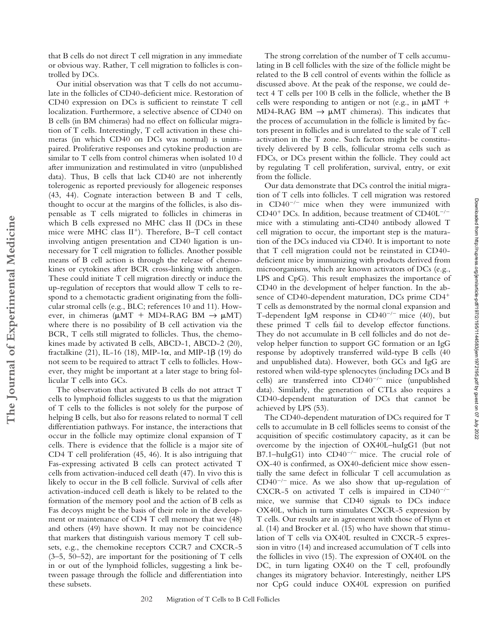that B cells do not direct T cell migration in any immediate or obvious way. Rather, T cell migration to follicles is controlled by DCs.

Our initial observation was that T cells do not accumulate in the follicles of CD40-deficient mice. Restoration of CD40 expression on DCs is sufficient to reinstate T cell localization. Furthermore, a selective absence of CD40 on B cells (in BM chimeras) had no effect on follicular migration of T cells. Interestingly, T cell activation in these chimeras (in which CD40 on DCs was normal) is unimpaired. Proliferative responses and cytokine production are similar to T cells from control chimeras when isolated 10 d after immunization and restimulated in vitro (unpublished data). Thus, B cells that lack CD40 are not inherently tolerogenic as reported previously for allogeneic responses (43, 44). Cognate interaction between B and T cells, thought to occur at the margins of the follicles, is also dispensable as T cells migrated to follicles in chimeras in which B cells expressed no MHC class II (DCs in these mice were MHC class II<sup>+</sup>). Therefore, B-T cell contact involving antigen presentation and CD40 ligation is unnecessary for T cell migration to follicles. Another possible means of B cell action is through the release of chemokines or cytokines after BCR cross-linking with antigen. These could initiate T cell migration directly or induce the up-regulation of receptors that would allow T cells to respond to a chemotactic gradient originating from the follicular stromal cells (e.g., BLC; references 10 and 11). However, in chimeras ( $\mu$ MT + MD4-RAG BM  $\rightarrow \mu$ MT) where there is no possibility of B cell activation via the BCR, T cells still migrated to follicles. Thus, the chemokines made by activated B cells, ABCD-1, ABCD-2 (20), fractalkine (21), IL-16 (18), MIP-1 $\alpha$ , and MIP-1 $\beta$  (19) do not seem to be required to attract T cells to follicles. However, they might be important at a later stage to bring follicular T cells into GCs.

**The Journal of Experimental Medicine**

The Journal of Experimental Medicine

The observation that activated B cells do not attract T cells to lymphoid follicles suggests to us that the migration of T cells to the follicles is not solely for the purpose of helping B cells, but also for reasons related to normal T cell differentiation pathways. For instance, the interactions that occur in the follicle may optimize clonal expansion of T cells. There is evidence that the follicle is a major site of CD4 T cell proliferation (45, 46). It is also intriguing that Fas-expressing activated B cells can protect activated T cells from activation-induced cell death (47). In vivo this is likely to occur in the B cell follicle. Survival of cells after activation-induced cell death is likely to be related to the formation of the memory pool and the action of B cells as Fas decoys might be the basis of their role in the development or maintenance of CD4 T cell memory that we (48) and others (49) have shown. It may not be coincidence that markers that distinguish various memory T cell subsets, e.g., the chemokine receptors CCR7 and CXCR-5  $(3-5, 50-52)$ , are important for the positioning of T cells in or out of the lymphoid follicles, suggesting a link between passage through the follicle and differentiation into these subsets.

The strong correlation of the number of T cells accumulating in B cell follicles with the size of the follicle might be related to the B cell control of events within the follicle as discussed above. At the peak of the response, we could detect 4 T cells per 100 B cells in the follicle, whether the B cells were responding to antigen or not (e.g., in  $\mu$ MT + MD4-RAG BM  $\rightarrow \mu$ MT chimeras). This indicates that the process of accumulation in the follicle is limited by factors present in follicles and is unrelated to the scale of T cell activation in the T zone. Such factors might be constitutively delivered by B cells, follicular stroma cells such as FDCs, or DCs present within the follicle. They could act by regulating T cell proliferation, survival, entry, or exit from the follicle.

Our data demonstrate that DCs control the initial migration of T cells into follicles. T cell migration was restored in  $CD40^{-/-}$  mice when they were immunized with  $CD40^+$  DCs. In addition, because treatment of  $CD40L^{-/-}$ mice with a stimulating anti-CD40 antibody allowed T cell migration to occur, the important step is the maturation of the DCs induced via CD40. It is important to note that T cell migration could not be reinstated in CD40 deficient mice by immunizing with products derived from microorganisms, which are known activators of DCs (e.g., LPS and CpG). This result emphasizes the importance of CD40 in the development of helper function. In the absence of CD40-dependent maturation, DCs prime CD4<sup>+</sup> T cells as demonstrated by the normal clonal expansion and T-dependent IgM response in  $CD40^{-/-}$  mice (40), but these primed T cells fail to develop effector functions. They do not accumulate in B cell follicles and do not develop helper function to support GC formation or an IgG response by adoptively transferred wild-type B cells (40 and unpublished data). However, both GCs and IgG are restored when wild-type splenocytes (including DCs and B cells) are transferred into  $CD40^{-/-}$  mice (unpublished data). Similarly, the generation of CTLs also requires a CD40-dependent maturation of DCs that cannot be achieved by LPS (53).

The CD40-dependent maturation of DCs required for T cells to accumulate in B cell follicles seems to consist of the acquisition of specific costimulatory capacity, as it can be overcome by the injection of OX40L–huIgG1 (but not B7.1–huIgG1) into  $CD40^{-/-}$  mice. The crucial role of OX-40 is confirmed, as OX40-deficient mice show essentially the same defect in follicular T cell accumulation as  $CD40^{-/-}$  mice. As we also show that up-regulation of CXCR-5 on activated T cells is impaired in  $CD40^{-/-}$ mice, we surmise that CD40 signals to DCs induce OX40L, which in turn stimulates CXCR-5 expression by T cells. Our results are in agreement with those of Flynn et al. (14) and Brocker et al. (15) who have shown that stimulation of T cells via OX40L resulted in CXCR-5 expression in vitro (14) and increased accumulation of T cells into the follicles in vivo (15). The expression of OX40L on the DC, in turn ligating OX40 on the T cell, profoundly changes its migratory behavior. Interestingly, neither LPS nor CpG could induce OX40L expression on purified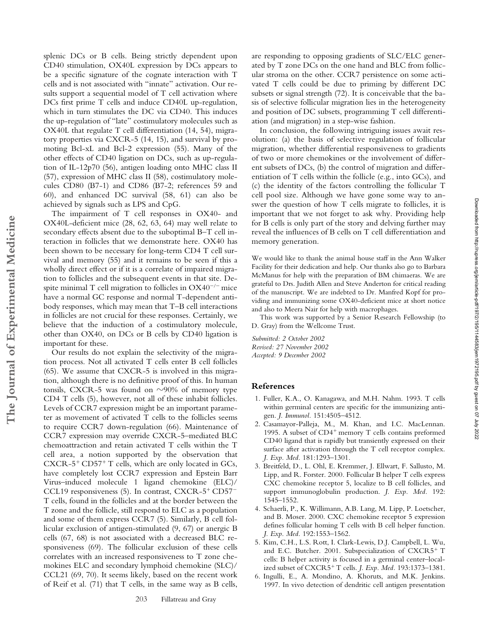splenic DCs or B cells. Being strictly dependent upon CD40 stimulation, OX40L expression by DCs appears to be a specific signature of the cognate interaction with T cells and is not associated with "innate" activation. Our results support a sequential model of T cell activation where DCs first prime T cells and induce CD40L up-regulation, which in turn stimulates the DC via CD40. This induces the up-regulation of "late" costimulatory molecules such as OX40L that regulate T cell differentiation (14, 54), migratory properties via CXCR-5 (14, 15), and survival by promoting Bcl-xL and Bcl-2 expression (55). Many of the other effects of CD40 ligation on DCs, such as up-regulation of IL-12p70 (56), antigen loading onto MHC class II (57), expression of MHC class II (58), costimulatory molecules CD80 (B7-1) and CD86 (B7-2; references 59 and 60), and enhanced DC survival (58, 61) can also be achieved by signals such as LPS and CpG.

The impairment of T cell responses in OX40- and OX40L-deficient mice (28, 62, 63, 64) may well relate to secondary effects absent due to the suboptimal B–T cell interaction in follicles that we demonstrate here. OX40 has been shown to be necessary for long-term CD4 T cell survival and memory (55) and it remains to be seen if this a wholly direct effect or if it is a correlate of impaired migration to follicles and the subsequent events in that site. Despite minimal T cell migration to follicles in  $OX40^{-/-}$  mice have a normal GC response and normal T-dependent antibody responses, which may mean that T–B cell interactions in follicles are not crucial for these responses. Certainly, we believe that the induction of a costimulatory molecule, other than OX40, on DCs or B cells by CD40 ligation is important for these.

**The Journal of Experimental Medicine**

The Journal of Experimental Medicine

Our results do not explain the selectivity of the migration process. Not all activated T cells enter B cell follicles (65). We assume that CXCR-5 is involved in this migration, although there is no definitive proof of this. In human tonsils, CXCR-5 was found on  $\sim$ 90% of memory type CD4 T cells (5), however, not all of these inhabit follicles. Levels of CCR7 expression might be an important parameter as movement of activated T cells to the follicles seems to require CCR7 down-regulation (66). Maintenance of CCR7 expression may override CXCR-5–mediated BLC chemoattraction and retain activated T cells within the T cell area, a notion supported by the observation that CXCR-5<sup>+</sup> CD57<sup>+</sup> T cells, which are only located in GCs, have completely lost CCR7 expression and Epstein Barr Virus–induced molecule 1 ligand chemokine (ELC)/ CCL19 responsiveness (5). In contrast, CXCR-5<sup>+</sup> CD57<sup>-</sup> T cells, found in the follicles and at the border between the T zone and the follicle, still respond to ELC as a population and some of them express CCR7 (5). Similarly, B cell follicular exclusion of antigen-stimulated (9, 67) or anergic B cells (67, 68) is not associated with a decreased BLC responsiveness (69). The follicular exclusion of these cells correlates with an increased responsiveness to T zone chemokines ELC and secondary lymphoid chemokine (SLC)/ CCL21 (69, 70). It seems likely, based on the recent work of Reif et al. (71) that T cells, in the same way as B cells,

are responding to opposing gradients of SLC/ELC generated by T zone DCs on the one hand and BLC from follicular stroma on the other. CCR7 persistence on some activated T cells could be due to priming by different DC subsets or signal strength (72). It is conceivable that the basis of selective follicular migration lies in the heterogeneity and position of DC subsets, programming T cell differentiation (and migration) in a step-wise fashion.

In conclusion, the following intriguing issues await resolution: (a) the basis of selective regulation of follicular migration, whether differential responsiveness to gradients of two or more chemokines or the involvement of different subsets of DCs, (b) the control of migration and differentiation of T cells within the follicle (e.g., into GCs), and (c) the identity of the factors controlling the follicular T cell pool size. Although we have gone some way to answer the question of how T cells migrate to follicles, it is important that we not forget to ask why. Providing help for B cells is only part of the story and delving further may reveal the influences of B cells on T cell differentiation and memory generation.

We would like to thank the animal house staff in the Ann Walker Facility for their dedication and help. Our thanks also go to Barbara McManus for help with the preparation of BM chimaeras. We are grateful to Drs. Judith Allen and Steve Anderton for critical reading of the manuscript. We are indebted to Dr. Manfred Kopf for providing and immunizing some OX40-deficient mice at short notice and also to Meera Nair for help with macrophages.

This work was supported by a Senior Research Fellowship (to D. Gray) from the Wellcome Trust.

*Submitted: 2 October 2002 Revised: 27 November 2002 Accepted: 9 December 2002*

## **References**

- 1. Fuller, K.A., O. Kanagawa, and M.H. Nahm. 1993. T cells within germinal centers are specific for the immunizing antigen. *J. Immunol.* 151:4505–4512.
- 2. Casamayor-Palleja, M., M. Khan, and I.C. MacLennan. 1995. A subset of CD4<sup>+</sup> memory T cells contains preformed CD40 ligand that is rapidly but transiently expressed on their surface after activation through the T cell receptor complex. *J. Exp. Med.* 181:1293–1301.
- 3. Breitfeld, D., L. Ohl, E. Kremmer, J. Ellwart, F. Sallusto, M. Lipp, and R. Forster. 2000. Follicular B helper T cells express CXC chemokine receptor 5, localize to B cell follicles, and support immunoglobulin production. *J. Exp. Med.* 192: 1545–1552.
- 4. Schaerli, P., K. Willimann, A.B. Lang, M. Lipp, P. Loetscher, and B. Moser. 2000. CXC chemokine receptor 5 expression defines follicular homing T cells with B cell helper function. *J. Exp. Med.* 192:1553–1562.
- 5. Kim, C.H., L.S. Rott, I. Clark-Lewis, D.J. Campbell, L. Wu, and E.C. Butcher. 2001. Subspecialization of CXCR5<sup>+</sup> T cells: B helper activity is focused in a germinal center–localized subset of CXCR5<sup>+</sup> T cells. *J. Exp. Med.* 193:1373-1381.
- 6. Ingulli, E., A. Mondino, A. Khoruts, and M.K. Jenkins. 1997. In vivo detection of dendritic cell antigen presentation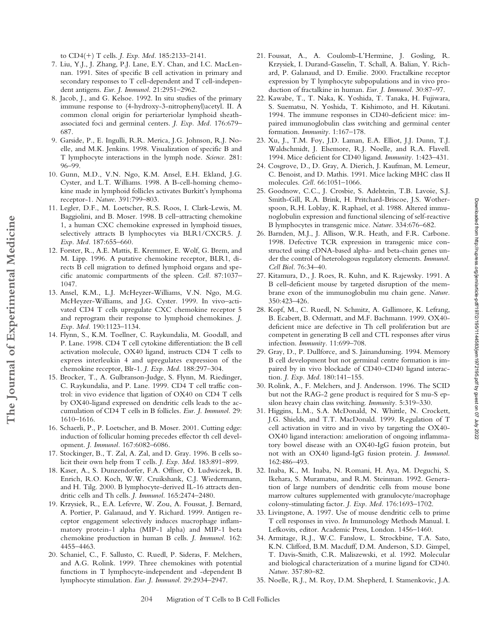to CD4(-) T cells. *J. Exp. Med.* 185:2133–2141.

- 7. Liu, Y.J., J. Zhang, P.J. Lane, E.Y. Chan, and I.C. MacLennan. 1991. Sites of specific B cell activation in primary and secondary responses to T cell-dependent and T cell-independent antigens. *Eur. J. Immunol.* 21:2951–2962.
- 8. Jacob, J., and G. Kelsoe. 1992. In situ studies of the primary immune response to (4-hydroxy-3-nitrophenyl)acetyl. II. A common clonal origin for periarteriolar lymphoid sheathassociated foci and germinal centers. *J. Exp. Med.* 176:679– 687.
- 9. Garside, P., E. Ingulli, R.R. Merica, J.G. Johnson, R.J. Noelle, and M.K. Jenkins. 1998. Visualization of specific B and T lymphocyte interactions in the lymph node. *Science.* 281: 96–99.
- 10. Gunn, M.D., V.N. Ngo, K.M. Ansel, E.H. Ekland, J.G. Cyster, and L.T. Williams. 1998. A B-cell-homing chemokine made in lymphoid follicles activates Burkitt's lymphoma receptor-1. *Nature.* 391:799–803.
- 11. Legler, D.F., M. Loetscher, R.S. Roos, I. Clark-Lewis, M. Baggiolini, and B. Moser. 1998. B cell–attracting chemokine 1, a human CXC chemokine expressed in lymphoid tissues, selectively attracts B lymphocytes via BLR1/CXCR5. *J. Exp. Med.* 187:655–660.
- 12. Forster, R., A.E. Mattis, E. Kremmer, E. Wolf, G. Brem, and M. Lipp. 1996. A putative chemokine receptor, BLR1, directs B cell migration to defined lymphoid organs and specific anatomic compartments of the spleen. *Cell.* 87:1037– 1047.
- 13. Ansel, K.M., L.J. McHeyzer-Williams, V.N. Ngo, M.G. McHeyzer-Williams, and J.G. Cyster. 1999. In vivo–activated CD4 T cells upregulate CXC chemokine receptor 5 and reprogram their response to lymphoid chemokines. *J. Exp. Med.* 190:1123–1134.
- 14. Flynn, S., K.M. Toellner, C. Raykundalia, M. Goodall, and P. Lane. 1998. CD4 T cell cytokine differentiation: the B cell activation molecule, OX40 ligand, instructs CD4 T cells to express interleukin 4 and upregulates expression of the chemokine receptor, Blr-1. *J. Exp. Med.* 188:297–304.
- 15. Brocker, T., A. Gulbranson-Judge, S. Flynn, M. Riedinger, C. Raykundalia, and P. Lane. 1999. CD4 T cell traffic control: in vivo evidence that ligation of OX40 on CD4 T cells by OX40-ligand expressed on dendritic cells leads to the accumulation of CD4 T cells in B follicles. *Eur. J. Immunol.* 29: 1610–1616.
- 16. Schaerli, P., P. Loetscher, and B. Moser. 2001. Cutting edge: induction of follicular homing precedes effector th cell development. *J. Immunol.* 167:6082–6086.
- 17. Stockinger, B., T. Zal, A. Zal, and D. Gray. 1996. B cells solicit their own help from T cells. *J. Exp. Med.* 183:891–899.
- 18. Kaser, A., S. Dunzendorfer, F.A. Offner, O. Ludwiczek, B. Enrich, R.O. Koch, W.W. Cruikshank, C.J. Wiedermann, and H. Tilg. 2000. B lymphocyte-derived IL-16 attracts dendritic cells and Th cells. *J. Immunol.* 165:2474–2480.
- 19. Krzysiek, R., E.A. Lefevre, W. Zou, A. Foussat, J. Bernard, A. Portier, P. Galanaud, and Y. Richard. 1999. Antigen receptor engagement selectively induces macrophage inflammatory protein-1 alpha (MIP-1 alpha) and MIP-1 beta chemokine production in human B cells. *J. Immunol.* 162: 4455–4463.
- 20. Schaniel, C., F. Sallusto, C. Ruedl, P. Sideras, F. Melchers, and A.G. Rolink. 1999. Three chemokines with potential functions in T lymphocyte-independent and -dependent B lymphocyte stimulation. *Eur. J. Immunol.* 29:2934–2947.
- 21. Foussat, A., A. Coulomb-L'Hermine, J. Gosling, R. Krzysiek, I. Durand-Gasselin, T. Schall, A. Balian, Y. Richard, P. Galanaud, and D. Emilie. 2000. Fractalkine receptor expression by T lymphocyte subpopulations and in vivo production of fractalkine in human. *Eur. J. Immunol.* 30:87–97.
- 22. Kawabe, T., T. Naka, K. Yoshida, T. Tanaka, H. Fujiwara, S. Suematsu, N. Yoshida, T. Kishimoto, and H. Kikutani. 1994. The immune responses in CD40-deficient mice: impaired immunoglobulin class switching and germinal center formation. *Immunity.* 1:167–178.
- 23. Xu, J., T.M. Foy, J.D. Laman, E.A. Elliot, J.J. Dunn, T.J. Waldschmidt, J. Elsemore, R.J. Noelle, and R.A. Flavell. 1994. Mice deficient for CD40 ligand. *Immunity.* 1:423–431.
- 24. Cosgrove, D., D. Gray, A. Dierich, J. Kaufman, M. Lemeur, C. Benoist, and D. Mathis. 1991. Mice lacking MHC class II molecules. *Cell.* 66:1051–1066.
- 25. Goodnow, C.C., J. Crosbie, S. Adelstein, T.B. Lavoie, S.J. Smith-Gill, R.A. Brink, H. Pritchard-Briscoe, J.S. Wotherspoon, R.H. Loblay, K. Raphael, et al. 1988. Altered immunoglobulin expression and functional silencing of self-reactive B lymphocytes in transgenic mice. *Nature.* 334:676–682.
- 26. Barnden, M.J., J. Allison, W.R. Heath, and F.R. Carbone. 1998. Defective TCR expression in transgenic mice constructed using cDNA-based alpha- and beta-chain genes under the control of heterologous regulatory elements. *Immunol. Cell Biol.* 76:34–40.
- 27. Kitamura, D., J. Roes, R. Kuhn, and K. Rajewsky. 1991. A B cell-deficient mouse by targeted disruption of the membrane exon of the immunoglobulin mu chain gene. *Nature.* 350:423–426.
- 28. Kopf, M., C. Ruedl, N. Schmitz, A. Gallimore, K. Lefrang, B. Ecabert, B. Odermatt, and M.F. Bachmann. 1999. OX40 deficient mice are defective in Th cell proliferation but are competent in generating B cell and CTL responses after virus infection. *Immunity.* 11:699–708.
- 29. Gray, D., P. Dullforce, and S. Jainandunsing. 1994. Memory B cell development but not germinal centre formation is impaired by in vivo blockade of CD40–CD40 ligand interaction. *J. Exp. Med.* 180:141–155.
- 30. Rolink, A., F. Melchers, and J. Andersson. 1996. The SCID but not the RAG-2 gene product is required for S mu-S epsilon heavy chain class switching. *Immunity.* 5:319–330.
- 31. Higgins, L.M., S.A. McDonald, N. Whittle, N. Crockett, J.G. Shields, and T.T. MacDonald. 1999. Regulation of T cell activation in vitro and in vivo by targeting the OX40- OX40 ligand interaction: amelioration of ongoing inflammatory bowel disease with an OX40-IgG fusion protein, but not with an OX40 ligand-IgG fusion protein. *J. Immunol.* 162:486–493.
- 32. Inaba, K., M. Inaba, N. Romani, H. Aya, M. Deguchi, S. Ikehara, S. Muramatsu, and R.M. Steinman. 1992. Generation of large numbers of dendritic cells from mouse bone marrow cultures supplemented with granulocyte/macrophage colony-stimulating factor. *J. Exp. Med.* 176:1693–1702.
- 33. Livingstone, A. 1997. Use of mouse dendritic cells to prime T cell responses in vivo. *In* Immunology Methods Manual. I. Lefkovits, editor. Academic Press, London. 1456–1460.
- 34. Armitage, R.J., W.C. Fanslow, L. Strockbine, T.A. Sato, K.N. Clifford, B.M. Macduff, D.M. Anderson, S.D. Gimpel, T. Davis-Smith, C.R. Maliszewski, et al. 1992. Molecular and biological characterization of a murine ligand for CD40. *Nature.* 357:80–82.
- 35. Noelle, R.J., M. Roy, D.M. Shepherd, I. Stamenkovic, J.A.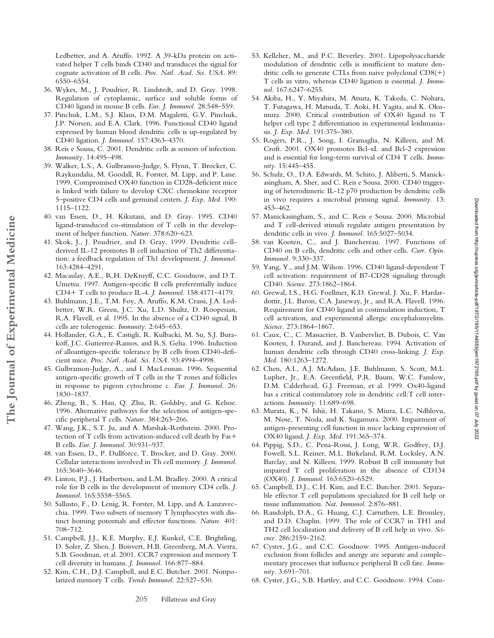Downloaded from http://rupress.org/jem/article-pdf/197/2/195/1144583/jem1972195.pdf by guest on 07 July 2022 Downloaded from http://rupress.org/jem/article-pdf/197/2/195/1144583/jem1972195.pdf by guest on 07 July 2022

Ledbetter, and A. Aruffo. 1992. A 39-kDa protein on activated helper T cells binds CD40 and transduces the signal for cognate activation of B cells. *Proc. Natl. Acad. Sci. USA.* 89: 6550–6554.

- 36. Wykes, M., J. Poudrier, R. Lindstedt, and D. Gray. 1998. Regulation of cytoplasmic, surface and soluble forms of CD40 ligand in mouse B cells. *Eur. J. Immunol.* 28:548–559.
- 37. Pinchuk, L.M., S.J. Klaus, D.M. Magaletti, G.V. Pinchuk, J.P. Norsen, and E.A. Clark. 1996. Functional CD40 ligand expressed by human blood dendritic cells is up-regulated by CD40 ligation. *J. Immunol.* 157:4363–4370.
- 38. Reis e Sousa, C. 2001. Dendritic cells as sensors of infection. *Immunity.* 14:495–498.
- 39. Walker, L.S., A. Gulbranson-Judge, S. Flynn, T. Brocker, C. Raykundalia, M. Goodall, R. Forster, M. Lipp, and P. Lane. 1999. Compromised OX40 function in CD28-deficient mice is linked with failure to develop CXC chemokine receptor 5–positive CD4 cells and germinal centers. *J. Exp. Med.* 190: 1115–1122.
- 40. van Essen, D., H. Kikutani, and D. Gray. 1995. CD40 ligand-transduced co-stimulation of T cells in the development of helper function. *Nature.* 378:620–623.
- 41. Skok, J., J. Poudrier, and D. Gray. 1999. Dendritic cellderived IL-12 promotes B cell induction of Th2 differentiation: a feedback regulation of Th1 development. *J. Immunol.* 163:4284–4291.
- 42. Macaulay, A.E., R.H. DeKruyff, C.C. Goodnow, and D.T. Umetsu. 1997. Antigen-specific B cells preferentially induce CD4- T cells to produce IL-4. *J. Immunol.* 158:4171–4179.
- 43. Buhlmann, J.E., T.M. Foy, A. Aruffo, K.M. Crassi, J.A. Ledbetter, W.R. Green, J.C. Xu, L.D. Shultz, D. Roopesian, R.A. Flavell, et al. 1995. In the absence of a CD40 signal, B cells are tolerogenic. *Immunity.* 2:645–653.

**The Journal of Experimental Medicine**

The Journal of Experimental Medicine

- 44. Hollander, G.A., E. Castigli, R. Kulbacki, M. Su, S.J. Burakoff, J.C. Gutierrez-Ramos, and R.S. Geha. 1996. Induction of alloantigen-specific tolerance by B cells from CD40-deficient mice. *Proc. Natl. Acad. Sci. USA.* 93:4994–4998.
- 45. Gulbranson-Judge, A., and I. MacLennan. 1996. Sequential antigen-specific growth of T cells in the T zones and follicles in response to pigeon cytochrome c. *Eur. J. Immunol.* 26: 1830–1837.
- 46. Zheng, B., S. Han, Q. Zhu, R. Goldsby, and G. Kelsoe. 1996. Alternative pathways for the selection of antigen-specific peripheral T cells. *Nature.* 384:263–266.
- 47. Wang, J.K., S.T. Ju, and A. Marshak-Rothstein. 2000. Protection of T cells from activation-induced cell death by Fas- B cells. *Eur. J. Immunol.* 30:931–937.
- 48. van Essen, D., P. Dullforce, T. Brocker, and D. Gray. 2000. Cellular interactions involved in Th cell memory. *J. Immunol.* 165:3640–3646.
- 49. Linton, P.J., J. Harbertson, and L.M. Bradley. 2000. A critical role for B cells in the development of memory CD4 cells. *J. Immunol.* 165:5558–5565.
- 50. Sallusto, F., D. Lenig, R. Forster, M. Lipp, and A. Lanzavecchia. 1999. Two subsets of memory T lymphocytes with distinct homing potentials and effector functions. *Nature.* 401: 708–712.
- 51. Campbell, J.J., K.E. Murphy, E.J. Kunkel, C.E. Brightling, D. Soler, Z. Shen, J. Boisvert, H.B. Greenberg, M.A. Vierra, S.B. Goodman, et al. 2001. CCR7 expression and memory T cell diversity in humans. *J. Immunol.* 166:877–884.
- 52. Kim, C.H., D.J. Campbell, and E.C. Butcher. 2001. Nonpolarized memory T cells. *Trends Immunol.* 22:527–530.
- 53. Kelleher, M., and P.C. Beverley. 2001. Lipopolysaccharide modulation of dendritic cells is insufficient to mature dendritic cells to generate CTLs from naive polyclonal CD8(+) T cells in vitro, whereas CD40 ligation is essential. *J. Immunol.* 167:6247–6255.
- 54. Akiba, H., Y. Miyahira, M. Atsuta, K. Takeda, C. Nohara, T. Futagawa, H. Matsuda, T. Aoki, H. Yagita, and K. Okumura. 2000. Critical contribution of OX40 ligand to T helper cell type 2 differentiation in experimental leishmaniasis. *J. Exp. Med.* 191:375–380.
- 55. Rogers, P.R., J. Song, I. Gramaglia, N. Killeen, and M. Croft. 2001. OX40 promotes Bcl-xL and Bcl-2 expression and is essential for long-term survival of CD4 T cells. *Immunity.* 15:445–455.
- 56. Schulz, O., D.A. Edwards, M. Schito, J. Aliberti, S. Manickasingham, A. Sher, and C. Reis e Sousa. 2000. CD40 triggering of heterodimeric IL-12 p70 production by dendritic cells in vivo requires a microbial priming signal. *Immunity.* 13: 453–462.
- 57. Manickasingham, S., and C. Reis e Sousa. 2000. Microbial and T cell-derived stimuli regulate antigen presentation by dendritic cells in vivo. *J. Immunol.* 165:5027–5034.
- 58. van Kooten, C., and J. Banchereau. 1997. Functions of CD40 on B cells, dendritic cells and other cells. *Curr. Opin. Immunol.* 9:330–337.
- 59. Yang, Y., and J.M. Wilson. 1996. CD40 ligand-dependent T cell activation: requirement of B7-CD28 signaling through CD40. *Science.* 273:1862–1864.
- 60. Grewal, I.S., H.G. Foellmer, K.D. Grewal, J. Xu, F. Hardardottir, J.L. Baron, C.A. Janeway, Jr., and R.A. Flavell. 1996. Requirement for CD40 ligand in costimulation induction, T cell activation, and experimental allergic encephalomyelitis. *Science.* 273:1864–1867.
- 61. Caux, C., C. Massacrier, B. Vanbervliet, B. Dubois, C. Van Kooten, I. Durand, and J. Banchereau. 1994. Activation of human dendritic cells through CD40 cross-linking. *J. Exp. Med.* 180:1263–1272.
- 62. Chen, A.I., A.J. McAdam, J.E. Buhlmann, S. Scott, M.L. Lupher, Jr., E.A. Greenfield, P.R. Baum, W.C. Fanslow, D.M. Calderhead, G.J. Freeman, et al. 1999. Ox40-ligand has a critical costimulatory role in dendritic cell:T cell interactions. *Immunity.* 11:689–698.
- 63. Murata, K., N. Ishii, H. Takano, S. Miura, L.C. Ndhlovu, M. Nose, T. Noda, and K. Sugamura. 2000. Impairment of antigen-presenting cell function in mice lacking expression of OX40 ligand. *J. Exp. Med.* 191:365–374.
- 64. Pippig, S.D., C. Pena-Rossi, J. Long, W.R. Godfrey, D.J. Fowell, S.L. Reiner, M.L. Birkeland, R.M. Locksley, A.N. Barclay, and N. Killeen. 1999. Robust B cell immunity but impaired T cell proliferation in the absence of CD134 (OX40). *J. Immunol.* 163:6520–6529.
- 65. Campbell, D.J., C.H. Kim, and E.C. Butcher. 2001. Separable effector T cell populations specialized for B cell help or tissue inflammation. *Nat. Immunol.* 2:876–881.
- 66. Randolph, D.A., G. Huang, C.J. Carruthers, L.E. Bromley, and D.D. Chaplin. 1999. The role of CCR7 in TH1 and TH2 cell localization and delivery of B cell help in vivo. *Science.* 286:2159–2162.
- 67. Cyster, J.G., and C.C. Goodnow. 1995. Antigen-induced exclusion from follicles and anergy are separate and complementary processes that influence peripheral B cell fate. *Immunity.* 3:691–701.
- 68. Cyster, J.G., S.B. Hartley, and C.C. Goodnow. 1994. Com-